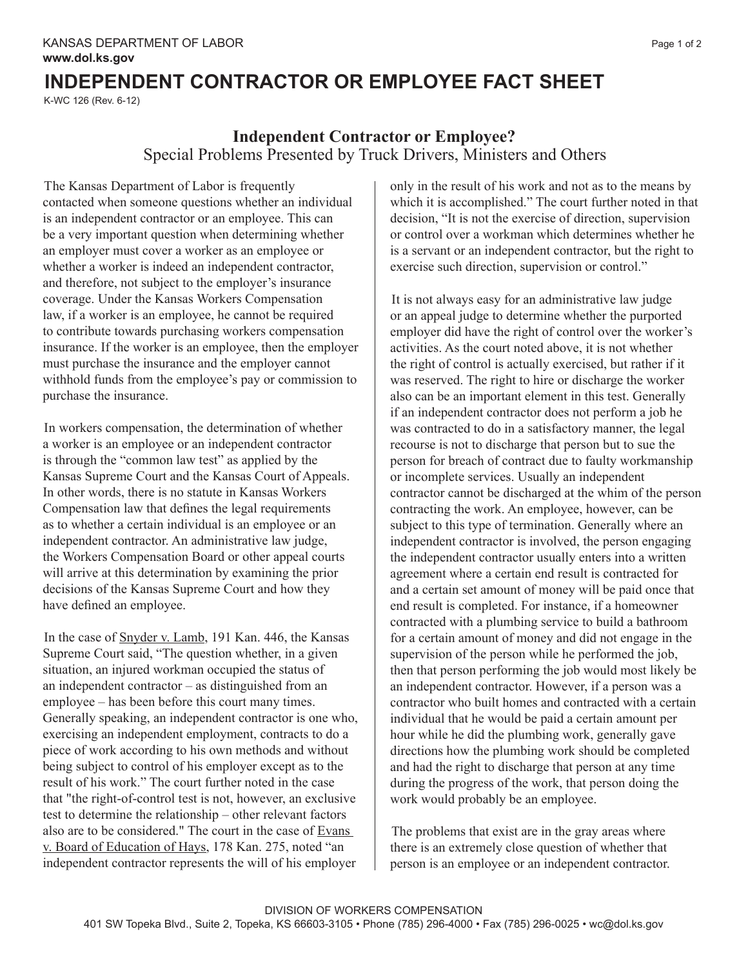## **INDEPENDENT CONTRACTOR OR EMPLOYEE FACT SHEET**

K-WC 126 (Rev. 6-12)

## Special Problems Presented by Truck Drivers, Ministers and Others **Independent Contractor or Employee?**

The Kansas Department of Labor is frequently contacted when someone questions whether an individual is an independent contractor or an employee. This can be a very important question when determining whether an employer must cover a worker as an employee or whether a worker is indeed an independent contractor, and therefore, not subject to the employer's insurance coverage. Under the Kansas Workers Compensation law, if a worker is an employee, he cannot be required to contribute towards purchasing workers compensation insurance. If the worker is an employee, then the employer must purchase the insurance and the employer cannot withhold funds from the employee's pay or commission to purchase the insurance.

In workers compensation, the determination of whether a worker is an employee or an independent contractor is through the "common law test" as applied by the Kansas Supreme Court and the Kansas Court of Appeals. In other words, there is no statute in Kansas Workers Compensation law that defines the legal requirements as to whether a certain individual is an employee or an independent contractor. An administrative law judge, the Workers Compensation Board or other appeal courts will arrive at this determination by examining the prior decisions of the Kansas Supreme Court and how they have defined an employee.

In the case of Snyder v. Lamb, 191 Kan. 446, the Kansas Supreme Court said, "The question whether, in a given situation, an injured workman occupied the status of an independent contractor – as distinguished from an employee – has been before this court many times. Generally speaking, an independent contractor is one who, exercising an independent employment, contracts to do a piece of work according to his own methods and without being subject to control of his employer except as to the result of his work." The court further noted in the case that "the right-of-control test is not, however, an exclusive test to determine the relationship – other relevant factors also are to be considered." The court in the case of Evans v. Board of Education of Hays, 178 Kan. 275, noted "an independent contractor represents the will of his employer

only in the result of his work and not as to the means by which it is accomplished." The court further noted in that decision, "It is not the exercise of direction, supervision or control over a workman which determines whether he is a servant or an independent contractor, but the right to exercise such direction, supervision or control."

It is not always easy for an administrative law judge or an appeal judge to determine whether the purported employer did have the right of control over the worker's activities. As the court noted above, it is not whether the right of control is actually exercised, but rather if it was reserved. The right to hire or discharge the worker also can be an important element in this test. Generally if an independent contractor does not perform a job he was contracted to do in a satisfactory manner, the legal recourse is not to discharge that person but to sue the person for breach of contract due to faulty workmanship or incomplete services. Usually an independent contractor cannot be discharged at the whim of the person contracting the work. An employee, however, can be subject to this type of termination. Generally where an independent contractor is involved, the person engaging the independent contractor usually enters into a written agreement where a certain end result is contracted for and a certain set amount of money will be paid once that end result is completed. For instance, if a homeowner contracted with a plumbing service to build a bathroom for a certain amount of money and did not engage in the supervision of the person while he performed the job, then that person performing the job would most likely be an independent contractor. However, if a person was a contractor who built homes and contracted with a certain individual that he would be paid a certain amount per hour while he did the plumbing work, generally gave directions how the plumbing work should be completed and had the right to discharge that person at any time during the progress of the work, that person doing the work would probably be an employee.

The problems that exist are in the gray areas where there is an extremely close question of whether that person is an employee or an independent contractor.